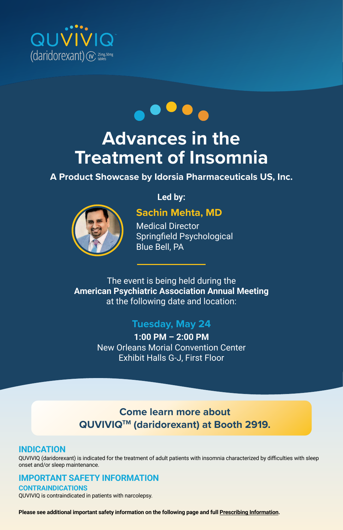



# **Advances in the Treatment of Insomnia**

## **A Product Showcase by Idorsia Pharmaceuticals US, Inc.**



## **Led by:**

## **Sachin Mehta, MD**

Medical Director Springfield Psychological Blue Bell, PA

## The event is being held during the **American Psychiatric Association Annual Meeting** at the following date and location:

## **Tuesday, May 24**

**1:00 PM – 2:00 PM** New Orleans Morial Convention Center Exhibit Halls G-J, First Floor

# **Come learn more about QUVIVIQTM (daridorexant) at Booth 2919.**

## **INDICATION**

QUVIVIQ (daridorexant) is indicated for the treatment of adult patients with insomnia characterized by difficulties with sleep onset and/or sleep maintenance.

## **IMPORTANT SAFETY INFORMATION**

**CONTRAINDICATIONS** QUVIVIQ is contraindicated in patients with narcolepsy.

**Please see additional important safety information on the following page and full Prescribing Information.**